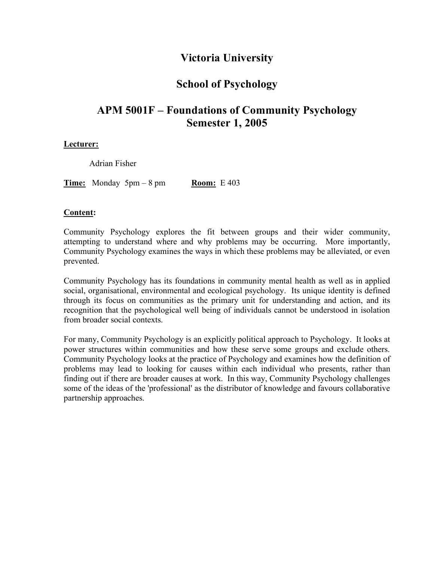# **Victoria University**

# **School of Psychology**

# **APM 5001F – Foundations of Community Psychology Semester 1, 2005**

# **Lecturer:**

Adrian Fisher

**Time:** Monday  $5\text{pm} - 8\text{pm}$  **Room:** E 403

# **Content:**

Community Psychology explores the fit between groups and their wider community, attempting to understand where and why problems may be occurring. More importantly, Community Psychology examines the ways in which these problems may be alleviated, or even prevented.

Community Psychology has its foundations in community mental health as well as in applied social, organisational, environmental and ecological psychology. Its unique identity is defined through its focus on communities as the primary unit for understanding and action, and its recognition that the psychological well being of individuals cannot be understood in isolation from broader social contexts.

For many, Community Psychology is an explicitly political approach to Psychology. It looks at power structures within communities and how these serve some groups and exclude others. Community Psychology looks at the practice of Psychology and examines how the definition of problems may lead to looking for causes within each individual who presents, rather than finding out if there are broader causes at work. In this way, Community Psychology challenges some of the ideas of the 'professional' as the distributor of knowledge and favours collaborative partnership approaches.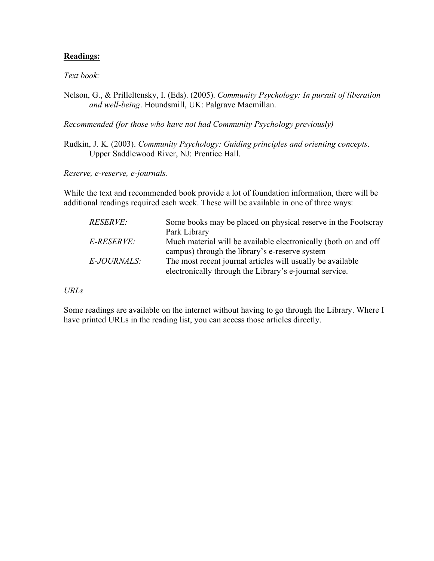# **Readings:**

*Text book:*

Nelson, G., & Prilleltensky, I. (Eds). (2005). *Community Psychology: In pursuit of liberation and well-being*. Houndsmill, UK: Palgrave Macmillan.

*Recommended (for those who have not had Community Psychology previously)*

Rudkin, J. K. (2003). *Community Psychology: Guiding principles and orienting concepts*. Upper Saddlewood River, NJ: Prentice Hall.

*Reserve, e-reserve, e-journals.*

While the text and recommended book provide a lot of foundation information, there will be additional readings required each week. These will be available in one of three ways:

| <i>RESERVE:</i> | Some books may be placed on physical reserve in the Footscray   |
|-----------------|-----------------------------------------------------------------|
|                 | Park Library                                                    |
| E-RESERVE:      | Much material will be available electronically (both on and off |
|                 | campus) through the library's e-reserve system                  |
| E-JOURNALS:     | The most recent journal articles will usually be available      |
|                 | electronically through the Library's e-journal service.         |

*URLs*

Some readings are available on the internet without having to go through the Library. Where I have printed URLs in the reading list, you can access those articles directly.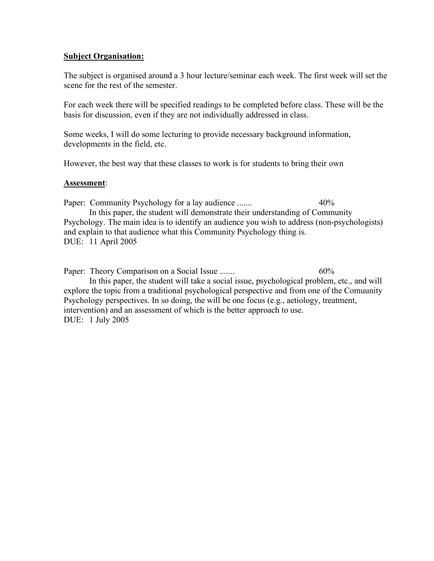# **Subject Organisation:**

The subject is organised around a 3 hour lecture/seminar each week. The first week will set the scene for the rest of the semester.

For each week there will be specified readings to be completed before class. These will be the basis for discussion, even if they are not individually addressed in class.

Some weeks, I will do some lecturing to provide necessary background information, developments in the field, etc.

However, the best way that these classes to work is for students to bring their own

# **Assessment**:

Paper: Community Psychology for a lay audience ....... 40% In this paper, the student will demonstrate their understanding of Community Psychology. The main idea is to identify an audience you wish to address (non-psychologists) and explain to that audience what this Community Psychology thing is. DUE: 11 April 2005

Paper: Theory Comparison on a Social Issue ....... 60% In this paper, the student will take a social issue, psychological problem, etc., and will explore the topic from a traditional psychological perspective and from one of the Comuunity Psychology perspectives. In so doing, the will be one focus (e.g., aetiology, treatment, intervention) and an assessment of which is the better approach to use. DUE: 1 July 2005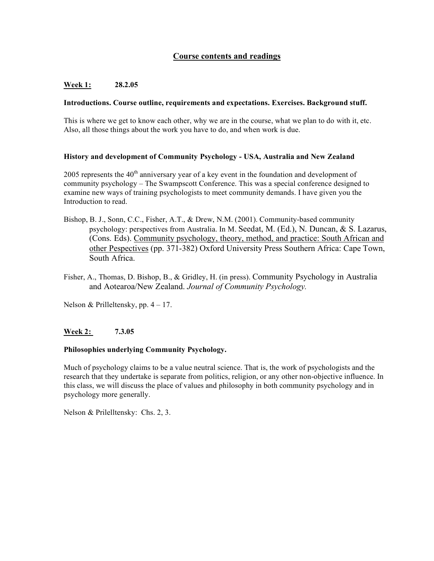# **Course contents and readings**

# **Week 1: 28.2.05**

### **Introductions. Course outline, requirements and expectations. Exercises. Background stuff.**

This is where we get to know each other, why we are in the course, what we plan to do with it, etc. Also, all those things about the work you have to do, and when work is due.

#### **History and development of Community Psychology - USA, Australia and New Zealand**

2005 represents the 40<sup>th</sup> anniversary year of a key event in the foundation and development of community psychology – The Swampscott Conference. This was a special conference designed to examine new ways of training psychologists to meet community demands. I have given you the Introduction to read.

- Bishop, B. J., Sonn, C.C., Fisher, A.T., & Drew, N.M. (2001). Community-based community psychology: perspectives from Australia. In M. Seedat, M. (Ed.), N. Duncan, & S. Lazarus, (Cons. Eds). Community psychology, theory, method, and practice: South African and other Pespectives (pp. 371-382) Oxford University Press Southern Africa: Cape Town, South Africa.
- Fisher, A., Thomas, D. Bishop, B., & Gridley, H. (in press). Community Psychology in Australia and Aotearoa/New Zealand. *Journal of Community Psychology.*

Nelson & Prilleltensky, pp. 4 – 17.

## **Week 2: 7.3.05**

## **Philosophies underlying Community Psychology.**

Much of psychology claims to be a value neutral science. That is, the work of psychologists and the research that they undertake is separate from politics, religion, or any other non-objective influence. In this class, we will discuss the place of values and philosophy in both community psychology and in psychology more generally.

Nelson & Prilelltensky: Chs. 2, 3.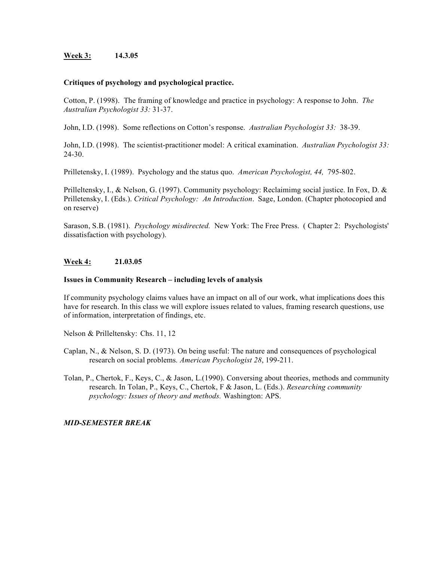#### **Week 3: 14.3.05**

#### **Critiques of psychology and psychological practice.**

Cotton, P. (1998). The framing of knowledge and practice in psychology: A response to John. *The Australian Psychologist 33:* 31-37.

John, I.D. (1998). Some reflections on Cotton's response. *Australian Psychologist 33:* 38-39.

John, I.D. (1998). The scientist-practitioner model: A critical examination. *Australian Psychologist 33:* 24-30.

Prilletensky, I. (1989). Psychology and the status quo. *American Psychologist, 44,* 795-802.

Prilleltensky, I., & Nelson, G. (1997). Community psychology: Reclaimimg social justice. In Fox, D. & Prilletensky, I. (Eds.). *Critical Psychology: An Introduction*. Sage, London. (Chapter photocopied and on reserve)

Sarason, S.B. (1981). *Psychology misdirected.* New York: The Free Press. ( Chapter 2: Psychologists' dissatisfaction with psychology).

## **Week 4: 21.03.05**

#### **Issues in Community Research – including levels of analysis**

If community psychology claims values have an impact on all of our work, what implications does this have for research. In this class we will explore issues related to values, framing research questions, use of information, interpretation of findings, etc.

Nelson & Prilleltensky: Chs. 11, 12

- Caplan, N., & Nelson, S. D. (1973). On being useful: The nature and consequences of psychological research on social problems*. American Psychologist 28*, 199-211.
- Tolan, P., Chertok, F., Keys, C., & Jason, L.(1990). Conversing about theories, methods and community research. In Tolan, P., Keys, C., Chertok, F & Jason, L. (Eds.). *Researching community psychology: Issues of theory and methods.* Washington: APS.

#### *MID-SEMESTER BREAK*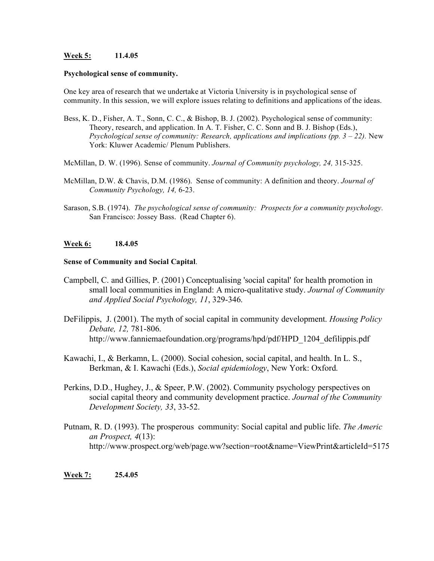#### **Week 5: 11.4.05**

#### **Psychological sense of community.**

One key area of research that we undertake at Victoria University is in psychological sense of community. In this session, we will explore issues relating to definitions and applications of the ideas.

- Bess, K. D., Fisher, A. T., Sonn, C. C., & Bishop, B. J. (2002). Psychological sense of community: Theory, research, and application. In A. T. Fisher, C. C. Sonn and B. J. Bishop (Eds.), *Psychological sense of community: Research, applications and implications (pp. 3 – 22).* New York: Kluwer Academic/ Plenum Publishers.
- McMillan, D. W. (1996). Sense of community. *Journal of Community psychology, 24,* 315-325.
- McMillan, D.W. & Chavis, D.M. (1986). Sense of community: A definition and theory. *Journal of Community Psychology, 14,* 6-23.
- Sarason, S.B. (1974). *The psychological sense of community: Prospects for a community psychology.* San Francisco: Jossey Bass. (Read Chapter 6).

## **Week 6: 18.4.05**

#### **Sense of Community and Social Capital**.

- Campbell, C. and Gillies, P. (2001) Conceptualising 'social capital' for health promotion in small local communities in England: A micro-qualitative study. *Journal of Community and Applied Social Psychology, 11*, 329-346.
- DeFilippis, J. (2001). The myth of social capital in community development. *Housing Policy Debate, 12,* 781-806. http://www.fanniemaefoundation.org/programs/hpd/pdf/HPD\_1204\_defilippis.pdf
- Kawachi, I., & Berkamn, L. (2000). Social cohesion, social capital, and health. In L. S., Berkman, & I. Kawachi (Eds.), *Social epidemiology*, New York: Oxford.
- Perkins, D.D., Hughey, J., & Speer, P.W. (2002). Community psychology perspectives on social capital theory and community development practice. *Journal of the Community Development Society, 33*, 33-52.
- Putnam, R. D. (1993). The prosperous community: Social capital and public life. *The Americ an Prospect, 4*(13): http://www.prospect.org/web/page.ww?section=root&name=ViewPrint&articleId=5175

## **Week 7: 25.4.05**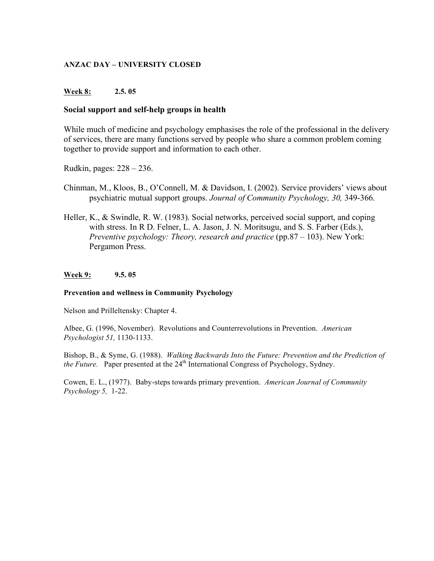# **ANZAC DAY – UNIVERSITY CLOSED**

# **Week 8: 2.5. 05**

# **Social support and self-help groups in health**

While much of medicine and psychology emphasises the role of the professional in the delivery of services, there are many functions served by people who share a common problem coming together to provide support and information to each other.

Rudkin, pages: 228 – 236.

- Chinman, M., Kloos, B., O'Connell, M. & Davidson, I. (2002). Service providers' views about psychiatric mutual support groups. *Journal of Community Psychology, 30,* 349-366.
- Heller, K., & Swindle, R. W. (1983). Social networks, perceived social support, and coping with stress. In R D. Felner, L. A. Jason, J. N. Moritsugu, and S. S. Farber (Eds.), *Preventive psychology: Theory, research and practice* (pp.87 – 103). New York: Pergamon Press.

## **Week 9: 9.5. 05**

## **Prevention and wellness in Community Psychology**

Nelson and Prilleltensky: Chapter 4.

Albee, G. (1996, November). Revolutions and Counterrevolutions in Prevention. *American Psychologist 51,* 1130-1133.

Bishop, B., & Syme, G. (1988). *Walking Backwards Into the Future: Prevention and the Prediction of the Future.* Paper presented at the  $24<sup>th</sup>$  International Congress of Psychology, Sydney.

Cowen, E. L., (1977). Baby-steps towards primary prevention. *American Journal of Community Psychology 5,* 1-22.